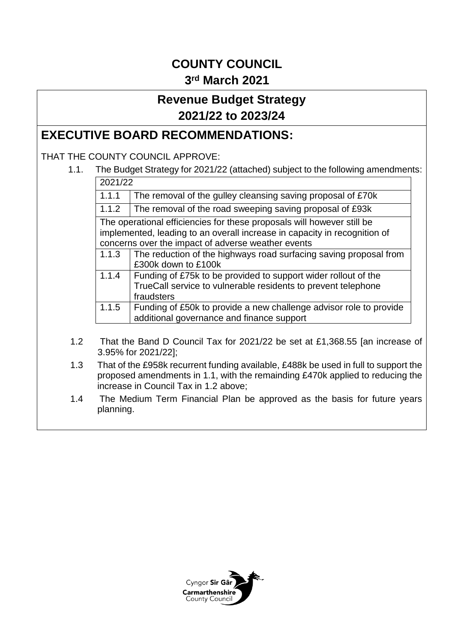# **COUNTY COUNCIL 3 rd March 2021**

# **Revenue Budget Strategy 2021/22 to 2023/24**

## **EXECUTIVE BOARD RECOMMENDATIONS:**

### THAT THE COUNTY COUNCIL APPROVE:

1.1. The Budget Strategy for 2021/22 (attached) subject to the following amendments:

| 2021/22                                                                   |                                                                    |  |
|---------------------------------------------------------------------------|--------------------------------------------------------------------|--|
| 1.1.1                                                                     | The removal of the gulley cleansing saving proposal of £70k        |  |
| 1.1.2                                                                     | The removal of the road sweeping saving proposal of £93k           |  |
| The operational efficiencies for these proposals will however still be    |                                                                    |  |
| implemented, leading to an overall increase in capacity in recognition of |                                                                    |  |
| concerns over the impact of adverse weather events                        |                                                                    |  |
| 1.1.3                                                                     | The reduction of the highways road surfacing saving proposal from  |  |
|                                                                           | £300k down to £100k                                                |  |
| 1.1.4                                                                     | Funding of £75k to be provided to support wider rollout of the     |  |
|                                                                           | TrueCall service to vulnerable residents to prevent telephone      |  |
|                                                                           | fraudsters                                                         |  |
| 1.1.5                                                                     | Funding of £50k to provide a new challenge advisor role to provide |  |
|                                                                           | additional governance and finance support                          |  |

- 1.2 That the Band D Council Tax for 2021/22 be set at £1,368.55 [an increase of 3.95% for 2021/22];
- 1.3 That of the £958k recurrent funding available, £488k be used in full to support the proposed amendments in 1.1, with the remainding £470k applied to reducing the increase in Council Tax in 1.2 above;
- 1.4 The Medium Term Financial Plan be approved as the basis for future years planning.

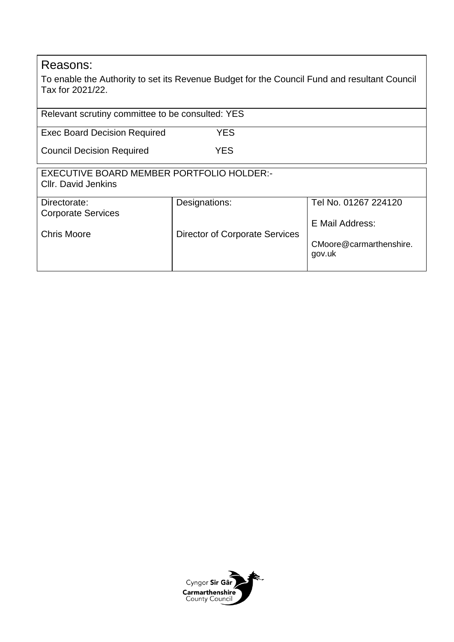## Reasons:

To enable the Authority to set its Revenue Budget for the Council Fund and resultant Council Tax for 2021/22.

| Relevant scrutiny committee to be consulted: YES                        |                                       |                                   |  |  |  |
|-------------------------------------------------------------------------|---------------------------------------|-----------------------------------|--|--|--|
| <b>Exec Board Decision Required</b>                                     | <b>YES</b>                            |                                   |  |  |  |
| <b>Council Decision Required</b>                                        | <b>YES</b>                            |                                   |  |  |  |
| EXECUTIVE BOARD MEMBER PORTFOLIO HOLDER:-<br><b>CIIr. David Jenkins</b> |                                       |                                   |  |  |  |
| Directorate:                                                            | Designations:                         | Tel No. 01267 224120              |  |  |  |
| <b>Corporate Services</b>                                               |                                       | E Mail Address:                   |  |  |  |
| <b>Chris Moore</b>                                                      | <b>Director of Corporate Services</b> | CMoore@carmarthenshire.<br>gov.uk |  |  |  |

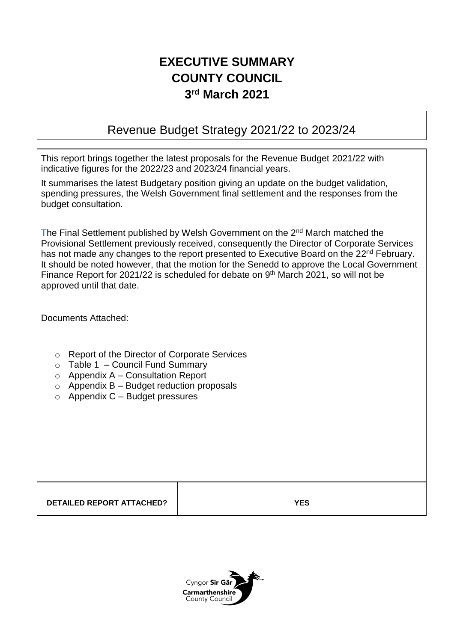# **EXECUTIVE SUMMARY COUNTY COUNCIL 3 rd March 2021**

## Revenue Budget Strategy 2021/22 to 2023/24

This report brings together the latest proposals for the Revenue Budget 2021/22 with indicative figures for the 2022/23 and 2023/24 financial years.

It summarises the latest Budgetary position giving an update on the budget validation, spending pressures, the Welsh Government final settlement and the responses from the budget consultation.

The Final Settlement published by Welsh Government on the 2<sup>nd</sup> March matched the Provisional Settlement previously received, consequently the Director of Corporate Services has not made any changes to the report presented to Executive Board on the 22<sup>nd</sup> February. It should be noted however, that the motion for the Senedd to approve the Local Government Finance Report for 2021/22 is scheduled for debate on 9<sup>th</sup> March 2021, so will not be approved until that date.

Documents Attached:

- o Report of the Director of Corporate Services
- $\circ$  Table 1 Council Fund Summary
- $\circ$  Appendix A Consultation Report
- $\circ$  Appendix B Budget reduction proposals
- $\circ$  Appendix C Budget pressures

**DETAILED REPORT ATTACHED? YES**

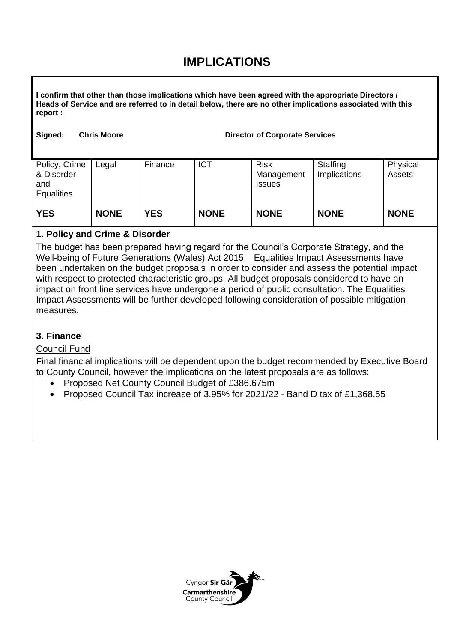## **IMPLICATIONS**

**I confirm that other than those implications which have been agreed with the appropriate Directors / Heads of Service and are referred to in detail below, there are no other implications associated with this report :**

| Signed: | <b>Chris Moore</b> |  |
|---------|--------------------|--|
|         |                    |  |

e **Signed: Chris Moore Director of Corporate Services** 

| Policy, Crime<br>& Disorder<br>and<br>Equalities | Legal       | Finance    | <b>ICT</b>  | <b>Risk</b><br>Management<br><b>Issues</b> | Staffing<br>Implications | Physical<br>Assets |
|--------------------------------------------------|-------------|------------|-------------|--------------------------------------------|--------------------------|--------------------|
| <b>YES</b>                                       | <b>NONE</b> | <b>YES</b> | <b>NONE</b> | <b>NONE</b>                                | <b>NONE</b>              | <b>NONE</b>        |

### **1. Policy and Crime & Disorder**

The budget has been prepared having regard for the Council's Corporate Strategy, and the Well-being of Future Generations (Wales) Act 2015. Equalities Impact Assessments have been undertaken on the budget proposals in order to consider and assess the potential impact with respect to protected characteristic groups. All budget proposals considered to have an impact on front line services have undergone a period of public consultation. The Equalities Impact Assessments will be further developed following consideration of possible mitigation measures.

### **3. Finance**

### Council Fund

Final financial implications will be dependent upon the budget recommended by Executive Board to County Council, however the implications on the latest proposals are as follows:

- Proposed Net County Council Budget of £386.675m
- Proposed Council Tax increase of 3.95% for 2021/22 Band D tax of £1,368.55